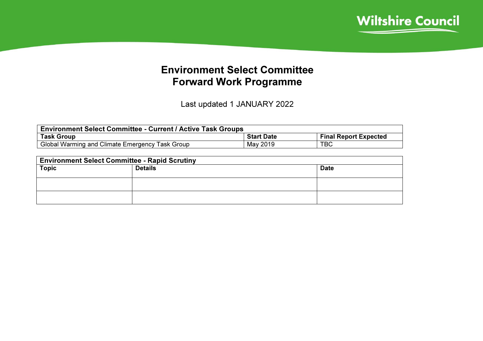

## Environment Select Committee Forward Work Programme

Last updated 1 JANUARY 2022

| <b>Environment Select Committee - Current / Active Task Groups</b> |                   |                              |  |  |  |  |
|--------------------------------------------------------------------|-------------------|------------------------------|--|--|--|--|
| <b>Task Group</b>                                                  | <b>Start Date</b> | <b>Final Report Expected</b> |  |  |  |  |
| Global Warming and Climate Emergency Task Group                    | May 2019          | <b>TBC</b>                   |  |  |  |  |

| <b>Environment Select Committee - Rapid Scrutiny</b> |                |             |  |  |  |  |
|------------------------------------------------------|----------------|-------------|--|--|--|--|
| <b>Topic</b>                                         | <b>Details</b> | <b>Date</b> |  |  |  |  |
|                                                      |                |             |  |  |  |  |
|                                                      |                |             |  |  |  |  |
|                                                      |                |             |  |  |  |  |
|                                                      |                |             |  |  |  |  |
|                                                      |                |             |  |  |  |  |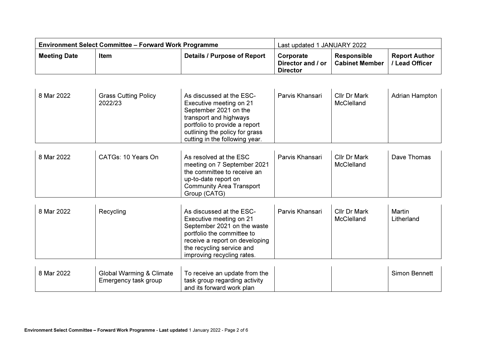| <b>Environment Select Committee – Forward Work Programme</b> |      |                             | Last updated 1 JANUARY 2022                              |                                      |                                             |
|--------------------------------------------------------------|------|-----------------------------|----------------------------------------------------------|--------------------------------------|---------------------------------------------|
| <b>Meeting Date</b>                                          | Item | Details / Purpose of Report | Corporate<br>Director and $/$ or $\ $<br><b>Director</b> | Responsible<br><b>Cabinet Member</b> | <b>Report Author</b><br><b>Lead Officer</b> |

| 8 Mar 2022 | <b>Grass Cutting Policy</b><br>2022/23                      | As discussed at the ESC-<br>Executive meeting on 21<br>September 2021 on the<br>transport and highways<br>portfolio to provide a report<br>outlining the policy for grass<br>cutting in the following year.   | Parvis Khansari | Cllr Dr Mark<br><b>McClelland</b> | Adrian Hampton       |
|------------|-------------------------------------------------------------|---------------------------------------------------------------------------------------------------------------------------------------------------------------------------------------------------------------|-----------------|-----------------------------------|----------------------|
| 8 Mar 2022 | CATGs: 10 Years On                                          | As resolved at the ESC<br>meeting on 7 September 2021<br>the committee to receive an<br>up-to-date report on<br><b>Community Area Transport</b><br>Group (CATG)                                               | Parvis Khansari | Cllr Dr Mark<br><b>McClelland</b> | Dave Thomas          |
| 8 Mar 2022 | Recycling                                                   | As discussed at the ESC-<br>Executive meeting on 21<br>September 2021 on the waste<br>portfolio the committee to<br>receive a report on developing<br>the recycling service and<br>improving recycling rates. | Parvis Khansari | Cllr Dr Mark<br><b>McClelland</b> | Martin<br>Litherland |
| 8 Mar 2022 | <b>Global Warming &amp; Climate</b><br>Emergency task group | To receive an update from the<br>task group regarding activity<br>and its forward work plan                                                                                                                   |                 |                                   | Simon Bennett        |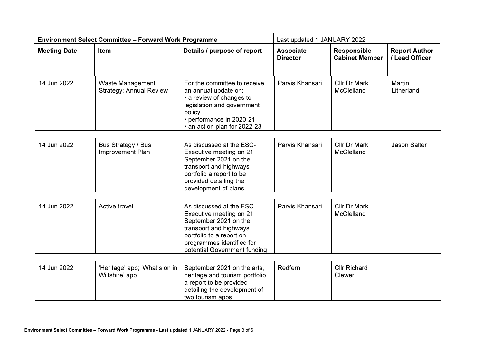| <b>Environment Select Committee - Forward Work Programme</b> |                                                           |                                                                                                                                                                                                 | Last updated 1 JANUARY 2022         |                                             |                                        |  |
|--------------------------------------------------------------|-----------------------------------------------------------|-------------------------------------------------------------------------------------------------------------------------------------------------------------------------------------------------|-------------------------------------|---------------------------------------------|----------------------------------------|--|
| <b>Meeting Date</b>                                          | Item                                                      | Details / purpose of report                                                                                                                                                                     | <b>Associate</b><br><b>Director</b> | <b>Responsible</b><br><b>Cabinet Member</b> | <b>Report Author</b><br>/ Lead Officer |  |
| 14 Jun 2022                                                  | <b>Waste Management</b><br><b>Strategy: Annual Review</b> | For the committee to receive<br>an annual update on:<br>• a review of changes to<br>legislation and government<br>policy<br>• performance in 2020-21<br>• an action plan for 2022-23            | Parvis Khansari                     | Cllr Dr Mark<br><b>McClelland</b>           | Martin<br>Litherland                   |  |
| 14 Jun 2022                                                  | Bus Strategy / Bus<br>Improvement Plan                    | As discussed at the ESC-<br>Executive meeting on 21<br>September 2021 on the<br>transport and highways<br>portfolio a report to be<br>provided detailing the<br>development of plans.           | Parvis Khansari                     | Cllr Dr Mark<br><b>McClelland</b>           | <b>Jason Salter</b>                    |  |
| 14 Jun 2022                                                  | Active travel                                             | As discussed at the ESC-<br>Executive meeting on 21<br>September 2021 on the<br>transport and highways<br>portfolio to a report on<br>programmes identified for<br>potential Government funding | Parvis Khansari                     | Cllr Dr Mark<br>McClelland                  |                                        |  |
| 14 Jun 2022                                                  | 'Heritage' app; 'What's on in<br>Wiltshire' app           | September 2021 on the arts,<br>heritage and tourism portfolio<br>a report to be provided<br>detailing the development of<br>two tourism apps.                                                   | Redfern                             | <b>Cllr Richard</b><br>Clewer               |                                        |  |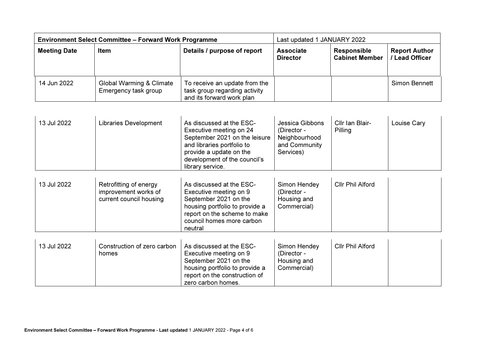|                     | <b>Environment Select Committee - Forward Work Programme</b> | Last updated 1 JANUARY 2022                                                                 |                                     |                                             |                                      |
|---------------------|--------------------------------------------------------------|---------------------------------------------------------------------------------------------|-------------------------------------|---------------------------------------------|--------------------------------------|
| <b>Meeting Date</b> | Item                                                         | Details / purpose of report                                                                 | <b>Associate</b><br><b>Director</b> | <b>Responsible</b><br><b>Cabinet Member</b> | <b>Report Author</b><br>Lead Officer |
| 14 Jun 2022         | Global Warming & Climate<br>Emergency task group             | To receive an update from the<br>task group regarding activity<br>and its forward work plan |                                     |                                             | <b>Simon Bennett</b>                 |

| 13 Jul 2022 | Libraries Development                                                     | As discussed at the ESC-<br>Executive meeting on 24<br>September 2021 on the leisure<br>and libraries portfolio to<br>provide a update on the<br>development of the council's<br>library service. | Jessica Gibbons<br>(Director -<br>Neighbourhood<br>and Community<br>Services) | Cllr Ian Blair-<br>Pilling | Louise Cary |
|-------------|---------------------------------------------------------------------------|---------------------------------------------------------------------------------------------------------------------------------------------------------------------------------------------------|-------------------------------------------------------------------------------|----------------------------|-------------|
| 13 Jul 2022 | Retrofitting of energy<br>improvement works of<br>current council housing | As discussed at the ESC-<br>Executive meeting on 9<br>September 2021 on the<br>housing portfolio to provide a<br>report on the scheme to make<br>council homes more carbon<br>neutral             | Simon Hendey<br>(Director -<br>Housing and<br>Commercial)                     | <b>Cllr Phil Alford</b>    |             |
| 13 Jul 2022 | Construction of zero carbon $\Box$ As discussed at the ESC-               |                                                                                                                                                                                                   | Simon Hendey                                                                  | Cllr Phil Alford           |             |

| 13 Jul 2022 | Construction of zero carbon | As discussed at the ESC-       | Simon Hendey | Cllr Phil Alford |  |
|-------------|-----------------------------|--------------------------------|--------------|------------------|--|
|             | homes                       | Executive meeting on 9         | (Director -  |                  |  |
|             |                             | September 2021 on the          | Housing and  |                  |  |
|             |                             | housing portfolio to provide a | Commercial)  |                  |  |
|             |                             | report on the construction of  |              |                  |  |
|             |                             | zero carbon homes.             |              |                  |  |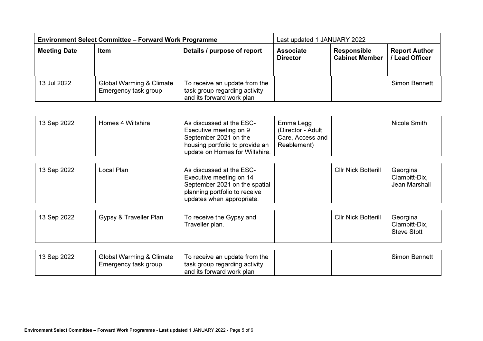|                     | <b>Environment Select Committee - Forward Work Programme</b> | Last updated 1 JANUARY 2022                                                                 |                                     |                                             |                                      |
|---------------------|--------------------------------------------------------------|---------------------------------------------------------------------------------------------|-------------------------------------|---------------------------------------------|--------------------------------------|
| <b>Meeting Date</b> | <b>Item</b>                                                  | Details / purpose of report                                                                 | <b>Associate</b><br><b>Director</b> | <b>Responsible</b><br><b>Cabinet Member</b> | <b>Report Author</b><br>Lead Officer |
| 13 Jul 2022         | Global Warming & Climate<br>Emergency task group             | To receive an update from the<br>task group regarding activity<br>and its forward work plan |                                     |                                             | Simon Bennett                        |

| 13 Sep 2022 | Homes 4 Wiltshire | As discussed at the ESC-<br>Executive meeting on 9<br>September 2021 on the | Emma Legg<br>(Director - Adult<br>Care, Access and | Nicole Smith |
|-------------|-------------------|-----------------------------------------------------------------------------|----------------------------------------------------|--------------|
|             |                   | housing portfolio to provide an                                             | Reablement)                                        |              |
|             |                   | update on Homes for Wiltshire.                                              |                                                    |              |

| 13 Sep 2022 | Local Plan | As discussed at the ESC-<br>Executive meeting on 14<br>September 2021 on the spatial | <b>Cllr Nick Botterill</b> | Georgina<br>Clampitt-Dix,<br>Jean Marshall |
|-------------|------------|--------------------------------------------------------------------------------------|----------------------------|--------------------------------------------|
|             |            | planning portfolio to receive<br>updates when appropriate.                           |                            |                                            |

| 13 Sep 2022 | Gypsy & Traveller Plan   | To receive the Gypsy and<br>Traveller plan. | <b>Cllr Nick Botterill</b> | Georgina<br>Clampitt-Dix,<br><b>Steve Stott</b> |
|-------------|--------------------------|---------------------------------------------|----------------------------|-------------------------------------------------|
| 13 Sep 2022 | Global Warming & Climate | To receive an update from the               |                            | Simon Bennett                                   |

| 13 Sep 2022 | Global Warming & Climate | 1 To receive an update from the |  | Simon Bennett |
|-------------|--------------------------|---------------------------------|--|---------------|
|             | Emergency task group     | task group regarding activity   |  |               |
|             |                          | and its forward work plan       |  |               |